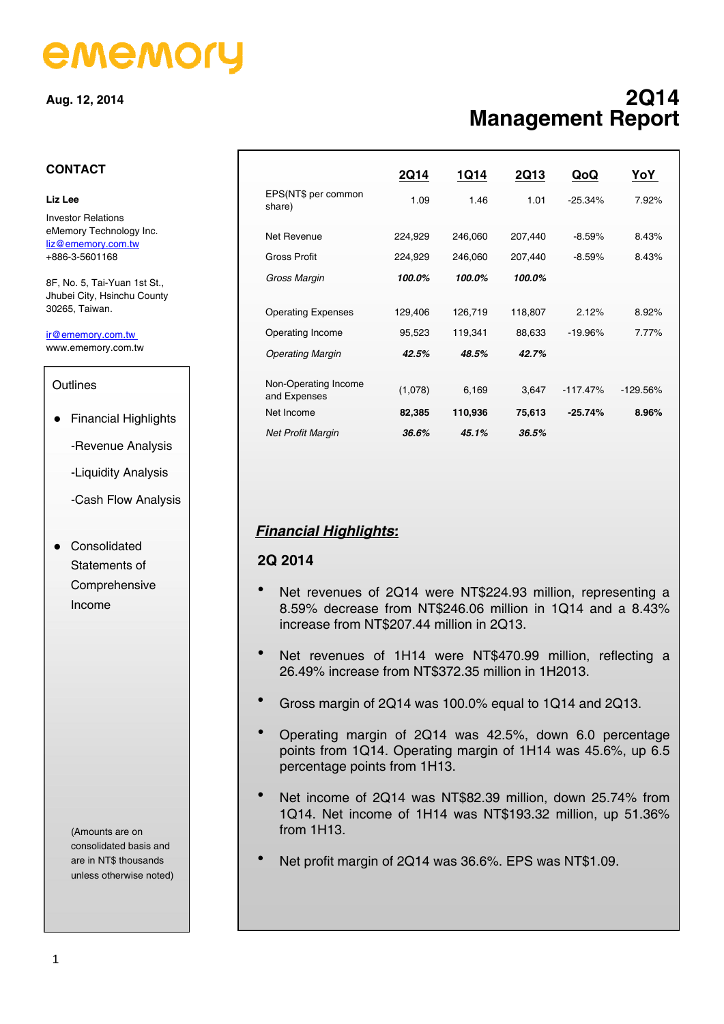# ememory

**Aug. 12, 2014** 

# **2Q14 Management Report**

#### **CONTACT**

#### **Liz Lee**

Investor Relations eMemory Technology Inc. liz@ememory.com.tw +886-3-5601168

8F, No. 5, Tai-Yuan 1st St., Jhubei City, Hsinchu County 30265, Taiwan.

ir@ememory.com.tw www.ememory.com.tw

#### **Outlines**

- Financial Highlights
	- -Revenue Analysis
	- -Liquidity Analysis
	- -Cash Flow Analysis
- **•** Consolidated Statements of Comprehensive Income

(Amounts are on consolidated basis and are in NT\$ thousands unless otherwise noted)

|                               | <b>2Q14</b> | 1Q14    | <b>2Q13</b> | QoQ        | <u>YoY</u>  |
|-------------------------------|-------------|---------|-------------|------------|-------------|
| EPS(NT\$ per common<br>share) | 1.09        | 1.46    | 1.01        | $-25.34%$  | 7.92%       |
| Net Revenue                   | 224,929     | 246,060 | 207,440     | $-8.59%$   | 8.43%       |
| Gross Profit                  | 224,929     | 246,060 | 207,440     | $-8.59%$   | 8.43%       |
| Gross Margin                  | 100.0%      | 100.0%  | 100.0%      |            |             |
|                               |             |         |             |            |             |
| <b>Operating Expenses</b>     | 129,406     | 126,719 | 118,807     | 2.12%      | 8.92%       |
| Operating Income              | 95,523      | 119,341 | 88,633      | $-19.96%$  | 7.77%       |
| <b>Operating Margin</b>       | 42.5%       | 48.5%   | 42.7%       |            |             |
| Non-Operating Income          | (1,078)     | 6,169   | 3,647       | $-117.47%$ | $-129.56\%$ |
| and Expenses                  |             |         |             |            |             |
| Net Income                    | 82,385      | 110,936 | 75,613      | $-25.74%$  | 8.96%       |
| <b>Net Profit Margin</b>      | 36.6%       | 45.1%   | 36.5%       |            |             |

# *Financial Highlights:*

#### **2Q 2014**

- Net revenues of 2Q14 were NT\$224.93 million, representing a 8.59% decrease from NT\$246.06 million in 1Q14 and a 8.43% increase from NT\$207.44 million in 2Q13.
- Net revenues of 1H14 were NT\$470.99 million, reflecting a 26.49% increase from NT\$372.35 million in 1H2013.
- Gross margin of 2Q14 was 100.0% equal to 1Q14 and 2Q13.
- Operating margin of 2Q14 was 42.5%, down 6.0 percentage points from 1Q14. Operating margin of 1H14 was 45.6%, up 6.5 percentage points from 1H13.
- Net income of 2Q14 was NT\$82.39 million, down 25.74% from 1Q14. Net income of 1H14 was NT\$193.32 million, up 51.36% from 1H13.
- Net profit margin of 2Q14 was 36.6%. EPS was NT\$1.09.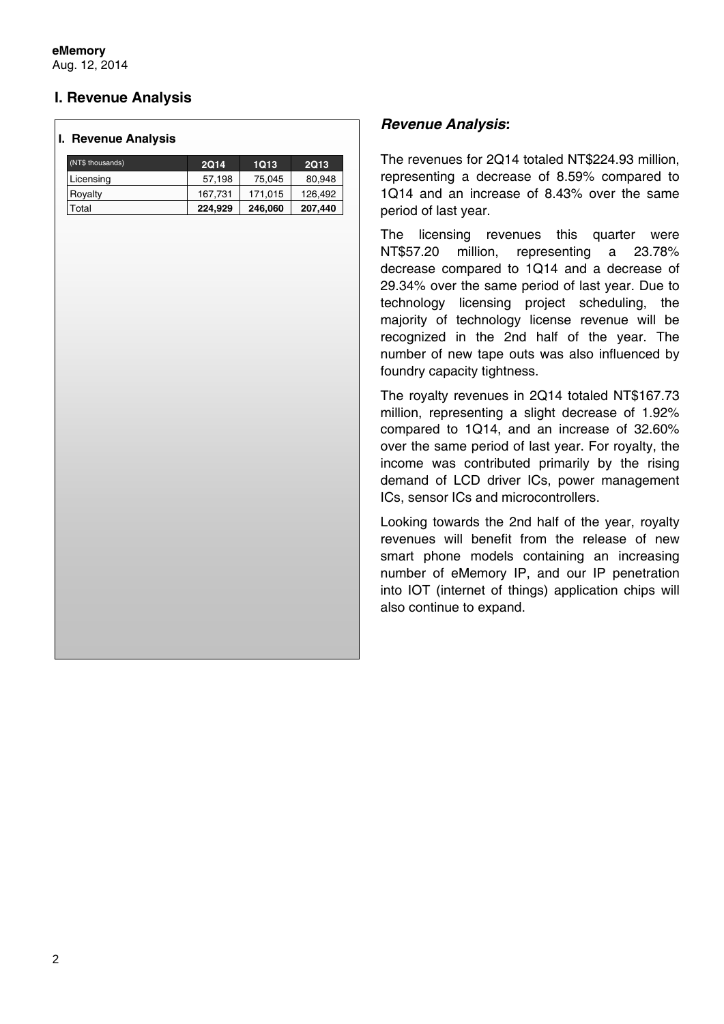**eMemory** Aug. 12, 2014

# **I. Revenue Analysis**

#### **I. Revenue Analysis**

| (NT\$ thousands) | <b>2Q14</b> | 1Q13    | <b>2Q13</b> |
|------------------|-------------|---------|-------------|
| Licensing        | 57,198      | 75,045  | 80,948      |
| Royalty          | 167,731     | 171.015 | 126,492     |
| Total            | 224,929     | 246,060 | 207,440     |

#### *Revenue Analysis:*

The revenues for 2Q14 totaled NT\$224.93 million, representing a decrease of 8.59% compared to 1Q14 and an increase of 8.43% over the same period of last year.

The licensing revenues this quarter were NT\$57.20 million, representing a 23.78% decrease compared to 1Q14 and a decrease of 29.34% over the same period of last year. Due to technology licensing project scheduling, the majority of technology license revenue will be recognized in the 2nd half of the year. The number of new tape outs was also influenced by foundry capacity tightness.

The royalty revenues in 2Q14 totaled NT\$167.73 million, representing a slight decrease of 1.92% compared to 1Q14, and an increase of 32.60% over the same period of last year. For royalty, the income was contributed primarily by the rising demand of LCD driver ICs, power management ICs, sensor ICs and microcontrollers.

Looking towards the 2nd half of the year, royalty revenues will benefit from the release of new smart phone models containing an increasing number of eMemory IP, and our IP penetration into IOT (internet of things) application chips will also continue to expand.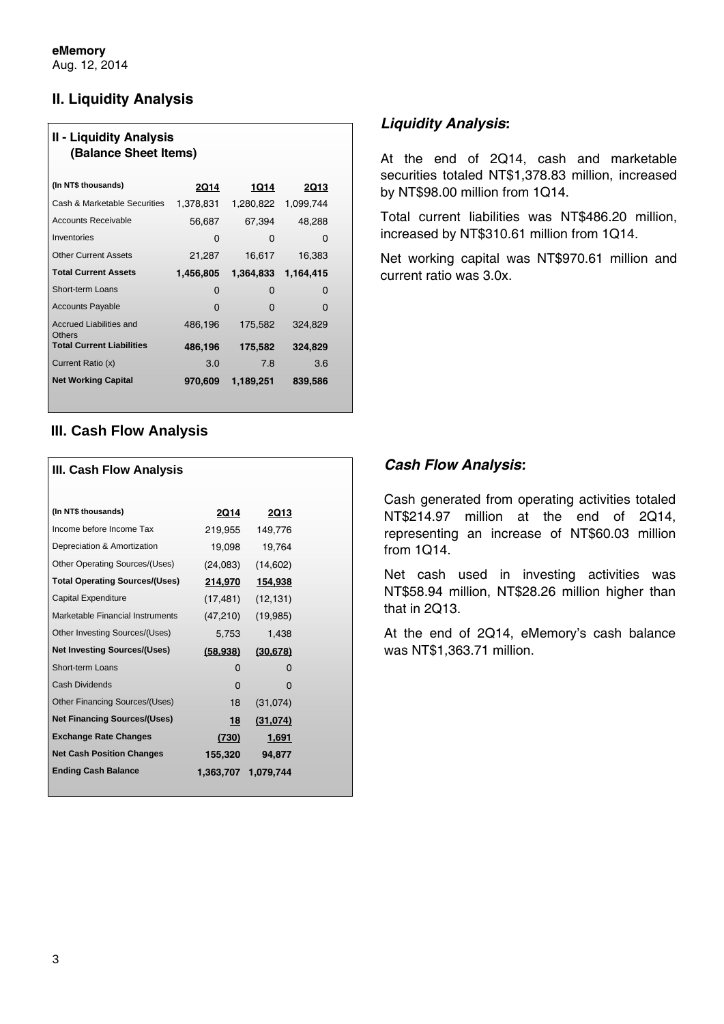# **II. Liquidity Analysis**

| <b>II - Liquidity Analysis</b><br>(Balance Sheet Items) |           |           |             |  |
|---------------------------------------------------------|-----------|-----------|-------------|--|
| (In NT\$ thousands)                                     | 2Q14      | 1Q14      | <b>2Q13</b> |  |
| Cash & Marketable Securities                            | 1,378,831 | 1,280,822 | 1,099,744   |  |
| <b>Accounts Receivable</b>                              | 56,687    | 67,394    | 48,288      |  |
| Inventories                                             | 0         | 0         | O           |  |
| <b>Other Current Assets</b>                             | 21,287    | 16,617    | 16,383      |  |
| <b>Total Current Assets</b>                             | 1,456,805 | 1,364,833 | 1,164,415   |  |
| Short-term Loans                                        | 0         | O         | O           |  |
| <b>Accounts Payable</b>                                 | O         | O         | O           |  |
| Accrued Liabilities and                                 | 486,196   | 175,582   | 324,829     |  |
| <b>Others</b><br><b>Total Current Liabilities</b>       | 486,196   | 175,582   | 324,829     |  |
| Current Ratio (x)                                       | 3.0       | 7.8       | 3.6         |  |
| <b>Net Working Capital</b>                              | 970,609   | 1,189,251 | 839,586     |  |

# **III. Cash Flow Analysis**

| III. Cash Flow Analysis               |              |             |
|---------------------------------------|--------------|-------------|
| (In NT\$ thousands)                   | 2Q14         | <b>2Q13</b> |
| Income before Income Tax              | 219,955      | 149,776     |
| Depreciation & Amortization           | 19,098       | 19,764      |
| Other Operating Sources/(Uses)        | (24,083)     | (14,602)    |
| <b>Total Operating Sources/(Uses)</b> | 214,970      | 154,938     |
| Capital Expenditure                   | (17, 481)    | (12, 131)   |
| Marketable Financial Instruments      | (47,210)     | (19,985)    |
| Other Investing Sources/(Uses)        | 5,753        | 1,438       |
| <b>Net Investing Sources/(Uses)</b>   | (58, 938)    | (30, 678)   |
| Short-term Loans                      | 0            | O           |
| Cash Dividends                        | <sup>0</sup> | O           |
| Other Financing Sources/(Uses)        | 18           | (31,074)    |
| <b>Net Financing Sources/(Uses)</b>   | 18           | (31,074)    |
| <b>Exchange Rate Changes</b>          | (730)        | 1,691       |
| <b>Net Cash Position Changes</b>      | 155,320      | 94,877      |
| <b>Ending Cash Balance</b>            | 1,363,707    | 1,079,744   |

# *Liquidity Analysis:*

At the end of 2Q14, cash and marketable securities totaled NT\$1,378.83 million, increased by NT\$98.00 million from 1Q14.

Total current liabilities was NT\$486.20 million, increased by NT\$310.61 million from 1Q14.

Net working capital was NT\$970.61 million and current ratio was 3.0x.

# *Cash Flow Analysis:*

Cash generated from operating activities totaled NT\$214.97 million at the end of 2Q14, representing an increase of NT\$60.03 million from 1Q14.

Net cash used in investing activities was NT\$58.94 million, NT\$28.26 million higher than that in 2Q13.

At the end of 2Q14, eMemory's cash balance was NT\$1,363.71 million.